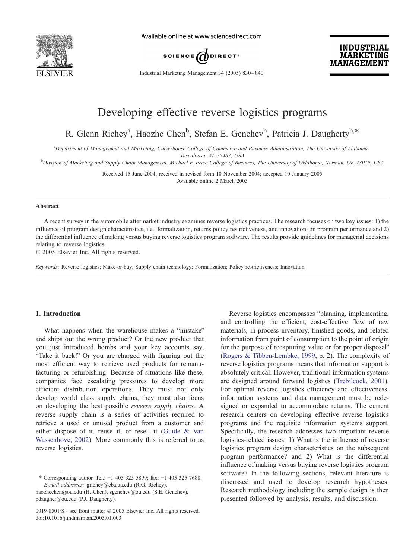

Available online at www.sciencedirect.com



Industrial Marketing Management 34 (2005) 830 – 840



# Developing effective reverse logistics programs

R. Glenn Richey<sup>a</sup>, Haozhe Chen<sup>b</sup>, Stefan E. Genchev<sup>b</sup>, Patricia J. Daugherty<sup>b,\*</sup>

a Department of Management and Marketing, Culverhouse College of Commerce and Business Administration, The University of Alabama,

Tuscaloosa, AL 35487, USA<br>Division of Marketing and Supply Chain Management, Michael F. Price College of Business, The University of Oklahoma, Norman, OK 73019, USA

Received 15 June 2004; received in revised form 10 November 2004; accepted 10 January 2005 Available online 2 March 2005

#### Abstract

A recent survey in the automobile aftermarket industry examines reverse logistics practices. The research focuses on two key issues: 1) the influence of program design characteristics, i.e., formalization, returns policy restrictiveness, and innovation, on program performance and 2) the differential influence of making versus buying reverse logistics program software. The results provide guidelines for managerial decisions relating to reverse logistics.

 $© 2005 Elsevier Inc. All rights reserved.$ 

Keywords: Reverse logistics; Make-or-buy; Supply chain technology; Formalization; Policy restrictiveness; Innovation

## 1. Introduction

What happens when the warehouse makes a "mistake" and ships out the wrong product? Or the new product that you just introduced bombs and your key accounts say, "Take it back!" Or you are charged with figuring out the most efficient way to retrieve used products for remanufacturing or refurbishing. Because of situations like these, companies face escalating pressures to develop more efficient distribution operations. They must not only develop world class supply chains, they must also focus on developing the best possible reverse supply chains. A reverse supply chain is a series of activities required to retrieve a used or unused product from a customer and either dispose of it, reuse it, or resell it [\(Guide & Va](#page--1-0)n Wassenhove, 2002). More commonly this is referred to as reverse logistics.

Reverse logistics encompasses "planning, implementing, and controlling the efficient, cost-effective flow of raw materials, in-process inventory, finished goods, and related information from point of consumption to the point of origin for the purpose of recapturing value or for proper disposal" [\(Rogers & Tibben-Lembke, 199](#page--1-0)9, p. 2). The complexity of reverse logistics programs means that information support is absolutely critical. However, traditional information systems are designed around forward logistics [\(Trebilcock, 200](#page--1-0)1). For optimal reverse logistics efficiency and effectiveness, information systems and data management must be redesigned or expanded to accommodate returns. The current research centers on developing effective reverse logistics programs and the requisite information systems support. [Specifically, the research addresses two important revers](#page--1-0)e logistics-related issues: 1) What is the influence of reverse logistics program design characteristics on the subsequent program performance? and 2) What is the differential influence of making versus buying reverse logistics program software? In the following sections, relevant literature is discussed and used to develop research hypotheses. Research methodology including the sample design is then presented followed by analysis, results, and discussion.

<sup>\*</sup> Corresponding author. Tel.:  $+1$  405 325 5899; fax:  $+1$  405 325 7688. E-mail addresses: grichey@cba.ua.edu (R.G. Richey), haozhechen@ou.edu (H. Chen), sgenchev@ou.edu (S.E. Genchev), pdaugher@ou.edu (P.J. Daugherty).

<sup>0019-8501/\$ -</sup> see front matter © 2005 Elsevier Inc. All rights reserved. doi:10.1016/j.indmarman.2005.01.003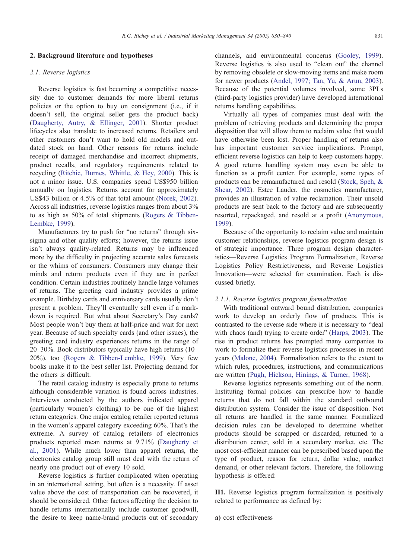## 2. Background literature and hypotheses

#### 2.1. Reverse logistics

Reverse logistics is fast becoming a competitive necessity due to customer demands for more liberal returns policies or the option to buy on consignment (i.e., if it doesn't sell, the original seller gets the product back) ([Daugherty, Autry, & Ellinger, 2001\)](#page--1-0). Shorter product lifecycles also translate to increased returns. Retailers and other customers don't want to hold old models and outdated stock on hand. Other reasons for returns include receipt of damaged merchandise and incorrect shipments, product recalls, and regulatory requirements related to recycling [\(Ritchie, Burnes, Whittle, & Hey, 2000\)](#page--1-0). This is not a minor issue. U.S. companies spend US\$950 billion annually on logistics. Returns account for approximately US\$43 billion or 4.5% of that total amount ([Norek, 2002\)](#page--1-0). Across all industries, reverse logistics ranges from about 3% to as high as 50% of total shipments ([Rogers & Tibben-](#page--1-0)Lembke, 1999).

Manufacturers try to push for "no returns" through sixsigma and other quality efforts; however, the returns issue isn't always quality-related. Returns may be influenced more by the difficulty in projecting accurate sales forecasts or the whims of consumers. Consumers may change their minds and return products even if they are in perfect condition. Certain industries routinely handle large volumes of returns. The greeting card industry provides a prime example. Birthday cards and anniversary cards usually don't present a problem. They'll eventually sell even if a markdown is required. But what about Secretary's Day cards? Most people won't buy them at half-price and wait for next year. Because of such specialty cards (and other issues), the greeting card industry experiences returns in the range of 20–30%. Book distributors typically have high returns (10– 20%), too ([Rogers & Tibben-Lembke, 1999\)](#page--1-0). Very few books make it to the best seller list. Projecting demand for the others is difficult.

The retail catalog industry is especially prone to returns although considerable variation is found across industries. Interviews conducted by the authors indicated apparel (particularly women's clothing) to be one of the highest return categories. One major catalog retailer reported returns in the women's apparel category exceeding 60%. That's the extreme. A survey of catalog retailers of electronics products reported mean returns at 9.71% ([Daugherty et](#page--1-0) al., 2001). While much lower than apparel returns, the electronics catalog group still must deal with the return of nearly one product out of every 10 sold.

Reverse logistics is further complicated when operating in an international setting, but often is a necessity. If asset value above the cost of transportation can be recovered, it should be considered. Other factors affecting the decision to handle returns internationally include customer goodwill, the desire to keep name-brand products out of secondary

channels, and environmental concerns ([Gooley, 1999\)](#page--1-0). Reverse logistics is also used to "clean out" the channel by removing obsolete or slow-moving items and make room for newer products ([Andel, 1997; Tan, Yu, & Arun, 2003\)](#page--1-0). Because of the potential volumes involved, some 3PLs (third-party logistics provider) have developed international returns handling capabilities.

Virtually all types of companies must deal with the problem of retrieving products and determining the proper disposition that will allow them to reclaim value that would have otherwise been lost. Proper handling of returns also has important customer service implications. Prompt, efficient reverse logistics can help to keep customers happy. A good returns handling system may even be able to function as a profit center. For example, some types of products can be remanufactured and resold ([Stock, Speh, &](#page--1-0) Shear, 2002). Estee Lauder, the cosmetics manufacturer, provides an illustration of value reclamation. Their unsold products are sent back to the factory and are subsequently [resorted, repackaged, and resold at a profit \(Anonymous,](#page--1-0) 1999).

Because of the opportunity to reclaim value and maintain customer relationships, reverse logistics program design is of strategic importance. Three program design characteristics—Reverse Logistics Program Formalization, Reverse Logistics Policy Restrictiveness, and Reverse Logistics Innovation—were selected for examination. Each is discussed briefly.

#### 2.1.1. Reverse logistics program formalization

With traditional outward bound distribution, companies work to develop an orderly flow of products. This is contrasted to the reverse side where it is necessary to "deal with chaos (and) trying to create order" (Harps,  $2003$ ). The rise in product returns has prompted many companies to work to formalize their reverse logistics processes in recent years ([Malone, 2004\)](#page--1-0). Formalization refers to the extent to which rules, procedures, instructions, and communications are written ([Pugh, Hickson, Hinings, & Turner, 1968\)](#page--1-0).

Reverse logistics represents something out of the norm. Instituting formal policies can prescribe how to handle returns that do not fall within the standard outbound distribution system. Consider the issue of disposition. Not all returns are handled in the same manner. Formalized decision rules can be developed to determine whether products should be scrapped or discarded, returned to a [distribution center, sold in a secondary market, etc. The](#page--1-0) most cost-efficient manner can be prescribed based upon the type of product, reason for return, dollar value, market demand, or other relevant factors. Therefore, the following hypothesis is offered:

H1. Reverse logistics program formalization is positively related to performance as defined by:

a) cost effectiveness